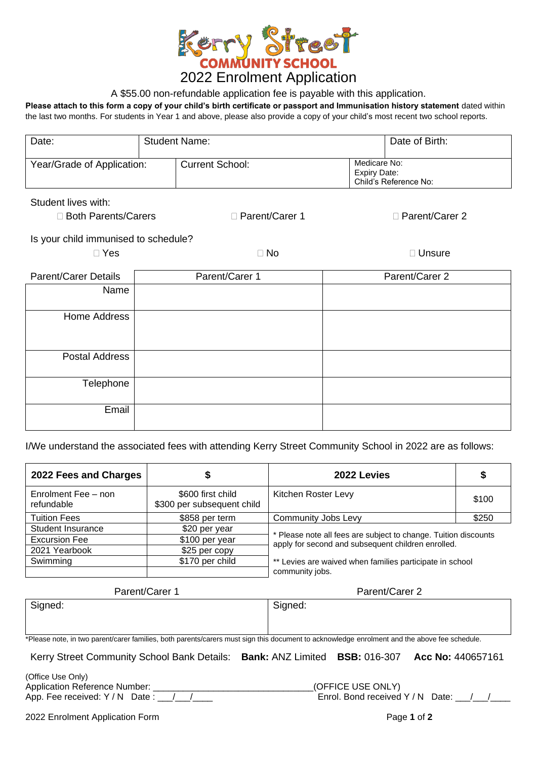

## A \$55.00 non-refundable application fee is payable with this application.

**Please attach to this form a copy of your child's birth certificate or passport and Immunisation history statement** dated within the last two months. For students in Year 1 and above, please also provide a copy of your child's most recent two school reports.

| Date:                                | <b>Student Name:</b> |                        |  | Date of Birth:                                               |  |
|--------------------------------------|----------------------|------------------------|--|--------------------------------------------------------------|--|
| Year/Grade of Application:           |                      | <b>Current School:</b> |  | Medicare No:<br><b>Expiry Date:</b><br>Child's Reference No: |  |
| Student lives with:                  |                      |                        |  |                                                              |  |
| □ Both Parents/Carers                |                      | □ Parent/Carer 1       |  | □ Parent/Carer 2                                             |  |
| Is your child immunised to schedule? |                      |                        |  |                                                              |  |
| $\Box$ Yes                           |                      | $\Box$ No              |  | $\Box$ Unsure                                                |  |
| <b>Parent/Carer Details</b>          |                      | Parent/Carer 1         |  | Parent/Carer 2                                               |  |
| Name                                 |                      |                        |  |                                                              |  |
| <b>Home Address</b>                  |                      |                        |  |                                                              |  |
|                                      |                      |                        |  |                                                              |  |
| <b>Postal Address</b>                |                      |                        |  |                                                              |  |
| Telephone                            |                      |                        |  |                                                              |  |
|                                      |                      |                        |  |                                                              |  |
| Email                                |                      |                        |  |                                                              |  |

I/We understand the associated fees with attending Kerry Street Community School in 2022 are as follows:

| 2022 Fees and Charges                  |                                                 | 2022 Levies                                                                                                           |       |  |
|----------------------------------------|-------------------------------------------------|-----------------------------------------------------------------------------------------------------------------------|-------|--|
| Enrolment Fee - non<br>refundable      | \$600 first child<br>\$300 per subsequent child | Kitchen Roster Levy                                                                                                   |       |  |
| <b>Tuition Fees</b>                    | \$858 per term                                  | Community Jobs Levy                                                                                                   | \$250 |  |
| Student Insurance                      | \$20 per year                                   |                                                                                                                       |       |  |
| <b>Excursion Fee</b><br>\$100 per year |                                                 | * Please note all fees are subject to change. Tuition discounts<br>apply for second and subsequent children enrolled. |       |  |
| 2021 Yearbook                          | \$25 per copy                                   |                                                                                                                       |       |  |
| Swimming                               | \$170 per child                                 | ** Levies are waived when families participate in school<br>community jobs.                                           |       |  |

| Parent/Carer 1                                                                                                                               | Parent/Carer 2 |
|----------------------------------------------------------------------------------------------------------------------------------------------|----------------|
| Signed:                                                                                                                                      | Signed:        |
|                                                                                                                                              |                |
| *Please note, in two parent/carer families, both parents/carers must sign this document to acknowledge enrolment and the above fee schedule. |                |

Kerry Street Community School Bank Details: **Bank:** ANZ Limited **BSB:** 016-307 **Acc No:** 440657161

(Office Use Only) Application Reference Number: <br>  $(OFFICE USE ONEY)$ 

App. Fee received: Y / N Date :  $\frac{1}{2}$  /  $\frac{1}{2}$  extracts the section of Finrol. Bond received Y / N Date:  $\frac{1}{2}$  /  $\frac{1}{2}$ 

2022 Enrolment Application Form Page **1** of **2**